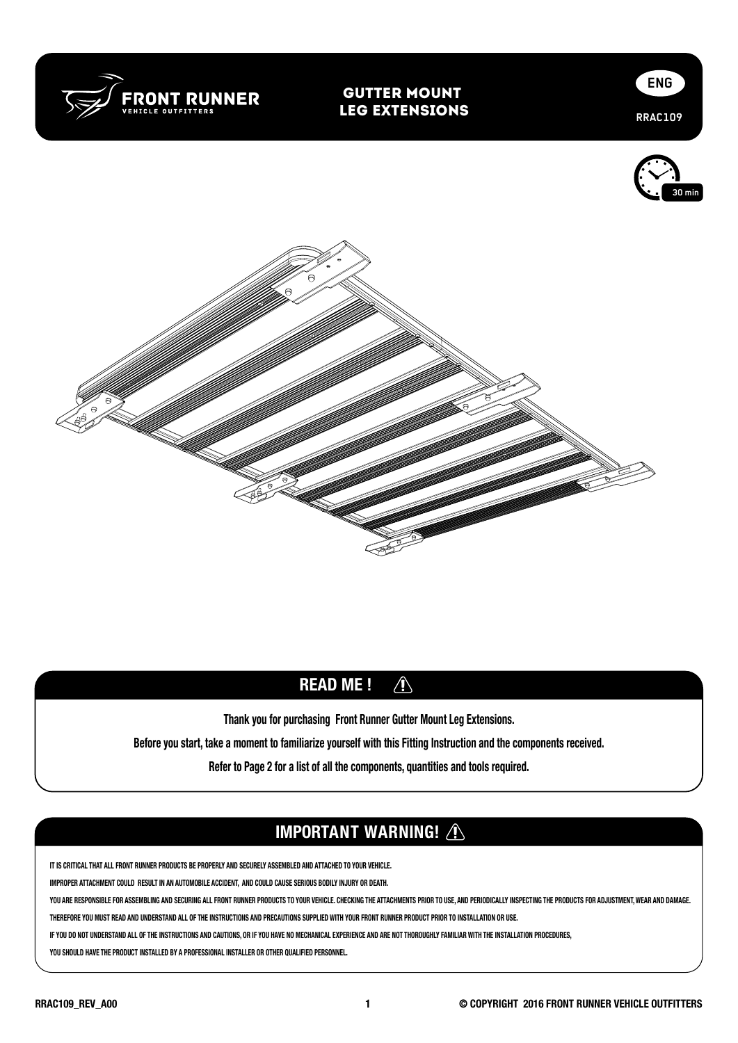

## Gutter Mount Leg Extensions







### READ ME ! $\bigwedge$

Thank you for purchasing Front Runner Gutter Mount Leg Extensions.

Before you start, take a moment to familiarize yourself with this Fitting Instruction and the components received.

Refer to Page 2 for a list of all the components, quantities and tools required.

# IMPORTANT WARNING! A

**IT IS CRITICAL THAT ALL FRONT RUNNER PRODUCTS BE PROPERLY AND SECURELY ASSEMBLED AND ATTACHED TO YOUR VEHICLE.** 

**IMPROPER ATTACHMENT COULD RESULT IN AN AUTOMOBILE ACCIDENT, AND COULD CAUSE SERIOUS BODILY INJURY OR DEATH.** 

YOU ARE RESPONSIBLE FOR ASSEMBLING AND SECURING ALL FRONT RUNNER PRODUCTS TO YOUR VEHICLE. CHECKING THE ATTACHMENTS PRIOR TO USE, AND PERIODICALLY INSPECTING THE PRODUCTS FOR ADJUSTMENT, WEAR AND DAMAGE.

**THEREFORE YOU MUST READ AND UNDERSTAND ALL OF THE INSTRUCTIONS AND PRECAUTIONS SUPPLIED WITH YOUR FRONT RUNNER PRODUCT PRIOR TO INSTALLATION OR USE.** 

**IF YOU DO NOT UNDERSTAND ALL OF THE INSTRUCTIONS AND CAUTIONS, OR IF YOU HAVE NO MECHANICAL EXPERIENCE AND ARE NOT THOROUGHLY FAMILIAR WITH THE INSTALLATION PROCEDURES,** 

**YOU SHOULD HAVE THE PRODUCT INSTALLED BY A PROFESSIONAL INSTALLER OR OTHER QUALIFIED PERSONNEL.**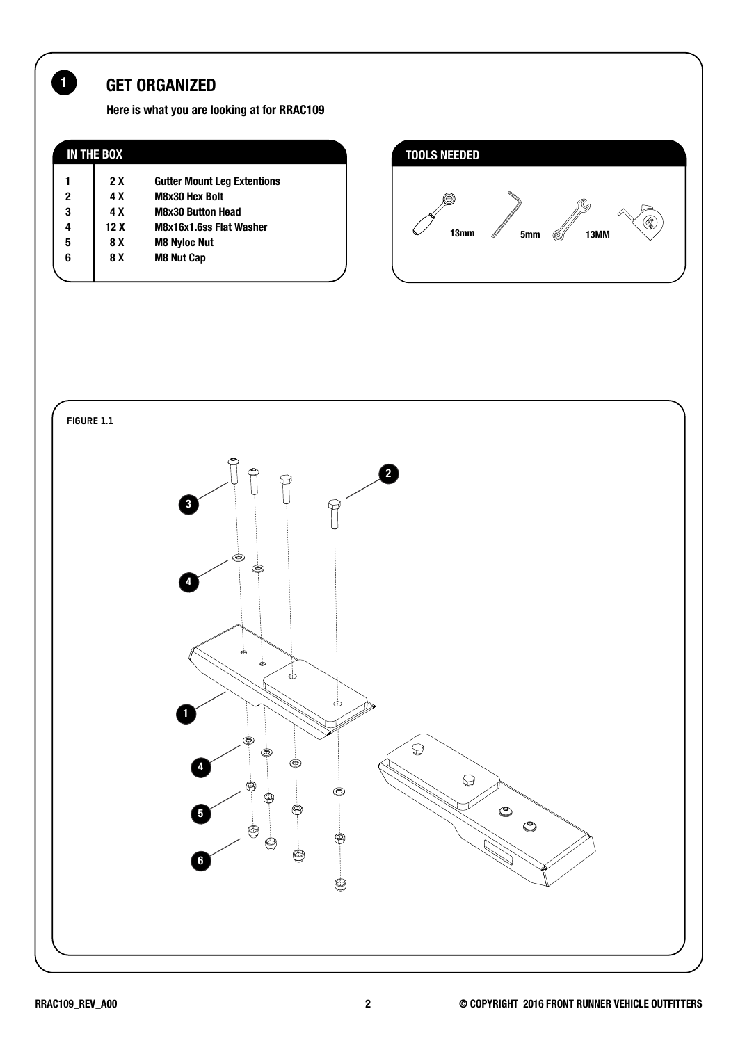# 1 GET ORGANIZED

Here is what you are looking at for RRAC109

| <b>IN THE BOX</b> |      |                                    |
|-------------------|------|------------------------------------|
|                   | 2 X  | <b>Gutter Mount Leg Extentions</b> |
| $\mathbf 2$       | 4 X  | <b>M8x30 Hex Bolt</b>              |
| 3                 | 4 X  | <b>M8x30 Button Head</b>           |
| 4                 | 12 X | M8x16x1.6ss Flat Washer            |
| 5                 | 8 X  | <b>M8 Nyloc Nut</b>                |
| 6                 | 8 X  | <b>M8 Nut Cap</b>                  |
|                   |      |                                    |



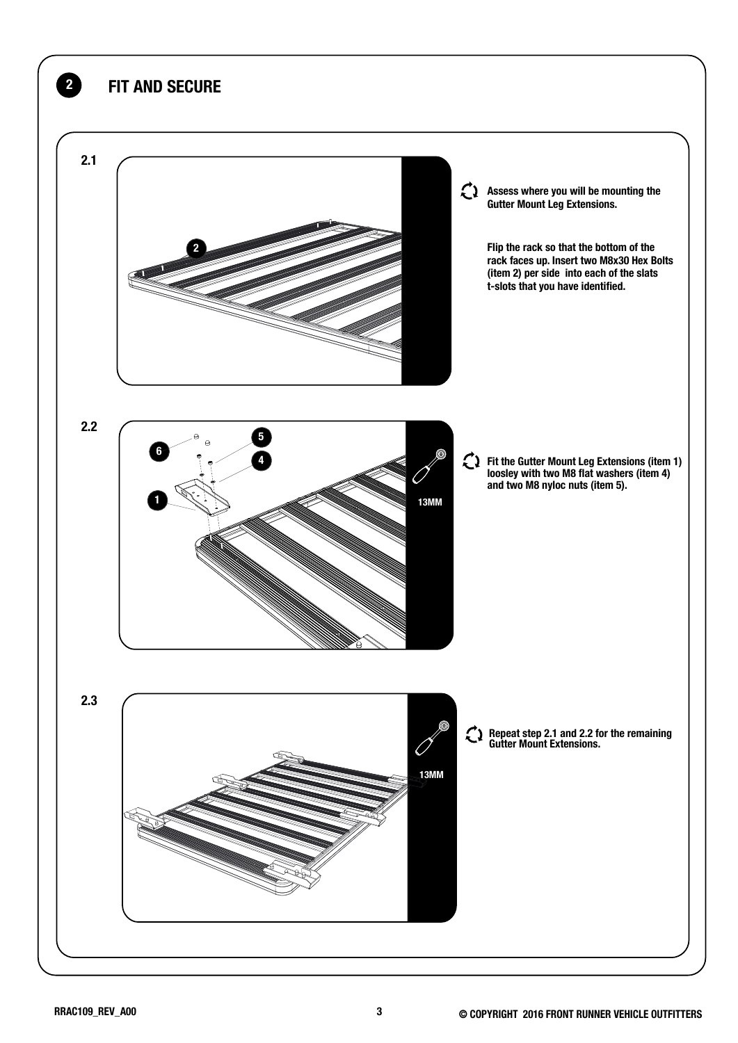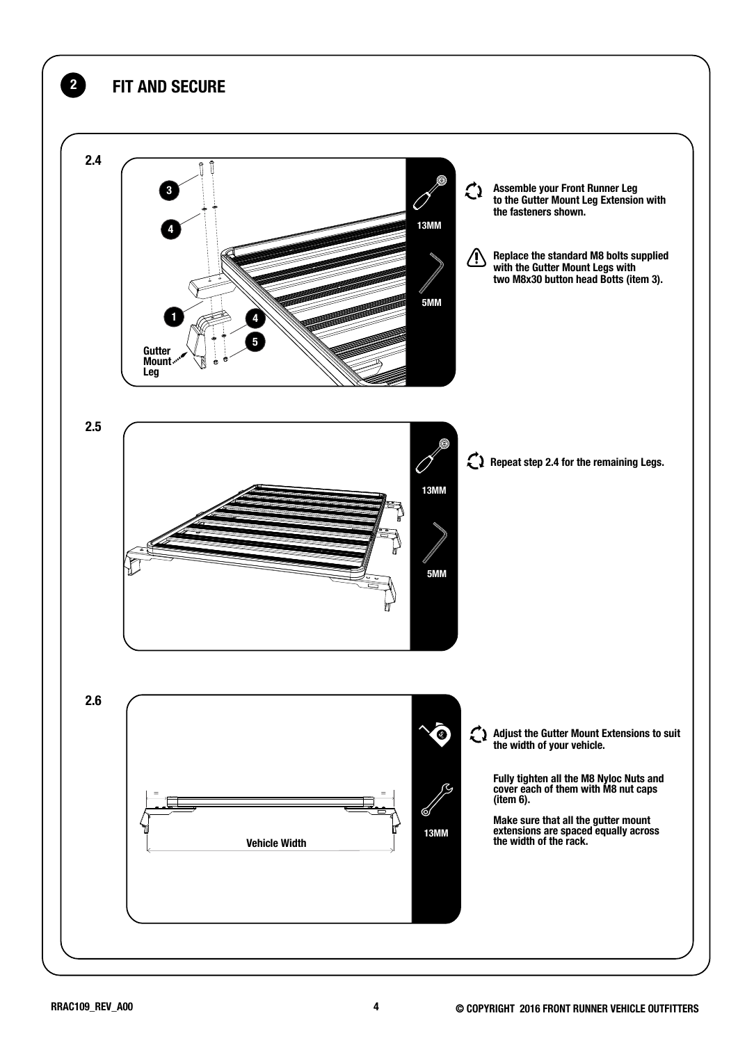